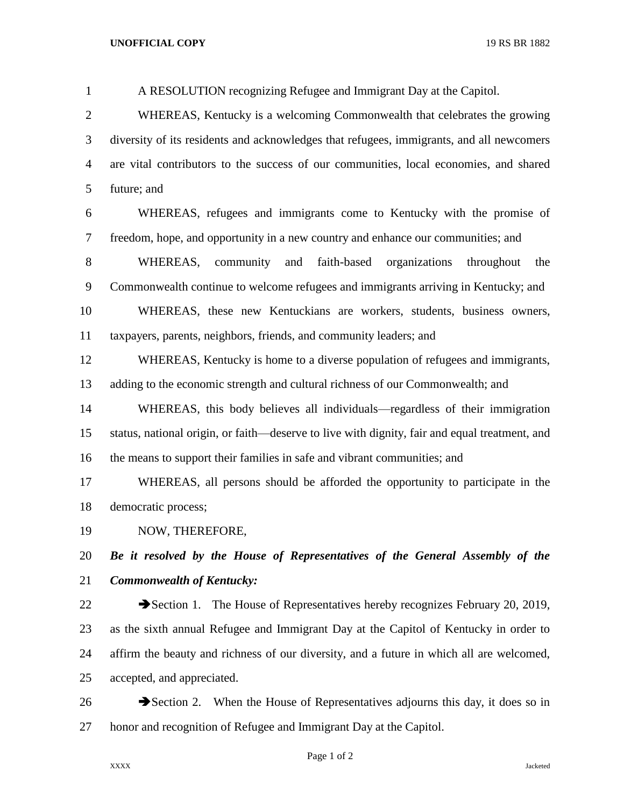| $\mathbf{1}$   | A RESOLUTION recognizing Refugee and Immigrant Day at the Capitol.                            |
|----------------|-----------------------------------------------------------------------------------------------|
| $\overline{2}$ | WHEREAS, Kentucky is a welcoming Commonwealth that celebrates the growing                     |
| 3              | diversity of its residents and acknowledges that refugees, immigrants, and all newcomers      |
| $\overline{4}$ | are vital contributors to the success of our communities, local economies, and shared         |
| 5              | future; and                                                                                   |
| 6              | WHEREAS, refugees and immigrants come to Kentucky with the promise of                         |
| 7              | freedom, hope, and opportunity in a new country and enhance our communities; and              |
| 8              | WHEREAS, community<br>faith-based<br>organizations<br>throughout<br>and<br>the                |
| 9              | Commonwealth continue to welcome refugees and immigrants arriving in Kentucky; and            |
| 10             | WHEREAS, these new Kentuckians are workers, students, business owners,                        |
| 11             | taxpayers, parents, neighbors, friends, and community leaders; and                            |
| 12             | WHEREAS, Kentucky is home to a diverse population of refugees and immigrants,                 |
| 13             | adding to the economic strength and cultural richness of our Commonwealth; and                |
| 14             | WHEREAS, this body believes all individuals—regardless of their immigration                   |
| 15             | status, national origin, or faith—deserve to live with dignity, fair and equal treatment, and |
| 16             | the means to support their families in safe and vibrant communities; and                      |
| 17             | WHEREAS, all persons should be afforded the opportunity to participate in the                 |
| 18             | democratic process;                                                                           |
| 19             | NOW, THEREFORE,                                                                               |
| 20             | Be it resolved by the House of Representatives of the General Assembly of the                 |
| 21             | <b>Commonwealth of Kentucky:</b>                                                              |
| 22             | Section 1. The House of Representatives hereby recognizes February 20, 2019,                  |
| 23             | as the sixth annual Refugee and Immigrant Day at the Capitol of Kentucky in order to          |
| 24             | affirm the beauty and richness of our diversity, and a future in which all are welcomed,      |
| 25             | accepted, and appreciated.                                                                    |
| 26             | Section 2. When the House of Representatives adjourns this day, it does so in                 |

honor and recognition of Refugee and Immigrant Day at the Capitol.